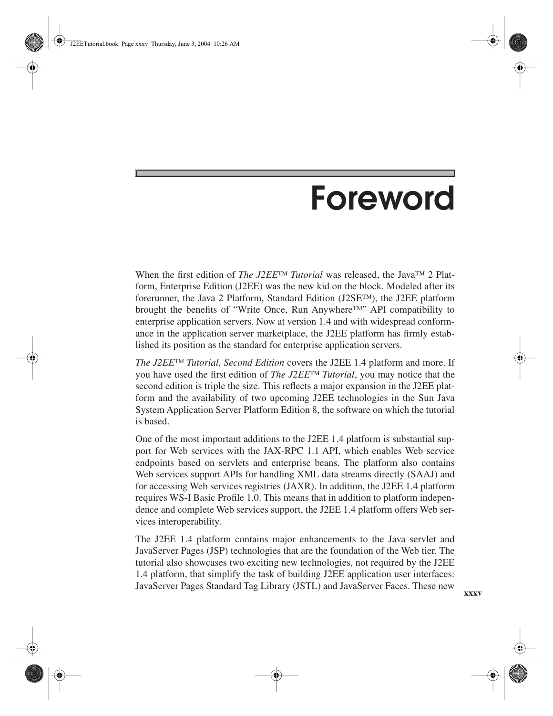## **Foreword**

When the first edition of *The J2EE™ Tutorial* was released, the Java™ 2 Platform, Enterprise Edition (J2EE) was the new kid on the block. Modeled after its forerunner, the Java 2 Platform, Standard Edition (J2SE™), the J2EE platform brought the benefits of "Write Once, Run Anywhere™" API compatibility to enterprise application servers. Now at version 1.4 and with widespread conformance in the application server marketplace, the J2EE platform has firmly established its position as the standard for enterprise application servers.

*The J2EE™ Tutorial, Second Edition* covers the J2EE 1.4 platform and more. If you have used the first edition of *The J2EE™ Tutorial*, you may notice that the second edition is triple the size. This reflects a major expansion in the J2EE platform and the availability of two upcoming J2EE technologies in the Sun Java System Application Server Platform Edition 8, the software on which the tutorial is based.

One of the most important additions to the J2EE 1.4 platform is substantial support for Web services with the JAX-RPC 1.1 API, which enables Web service endpoints based on servlets and enterprise beans. The platform also contains Web services support APIs for handling XML data streams directly (SAAJ) and for accessing Web services registries (JAXR). In addition, the J2EE 1.4 platform requires WS-I Basic Profile 1.0. This means that in addition to platform independence and complete Web services support, the J2EE 1.4 platform offers Web services interoperability.

The J2EE 1.4 platform contains major enhancements to the Java servlet and JavaServer Pages (JSP) technologies that are the foundation of the Web tier. The tutorial also showcases two exciting new technologies, not required by the J2EE 1.4 platform, that simplify the task of building J2EE application user interfaces: JavaServer Pages Standard Tag Library (JSTL) and JavaServer Faces. These new

**xxxv**